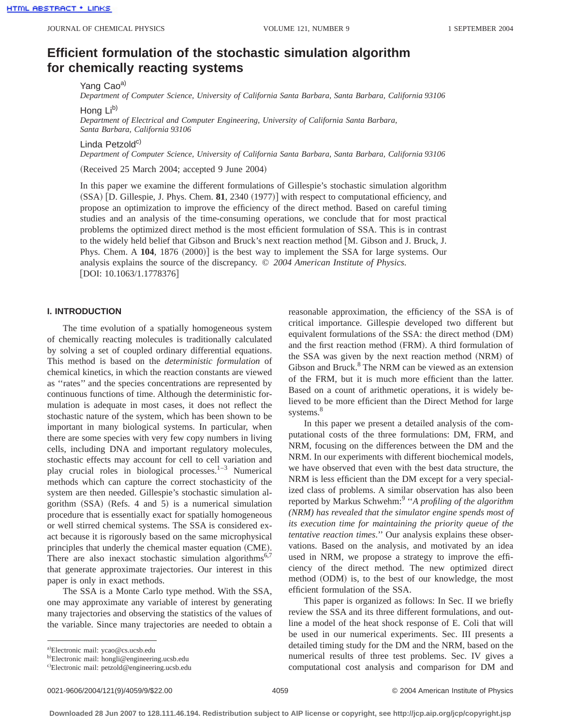# **Efficient formulation of the stochastic simulation algorithm for chemically reacting systems**

Yang Cao<sup>a)</sup>

*Department of Computer Science, University of California Santa Barbara, Santa Barbara, California 93106*

Hong Lib)

*Department of Electrical and Computer Engineering, University of California Santa Barbara, Santa Barbara, California 93106*

Linda Petzold $c$ )

*Department of Computer Science, University of California Santa Barbara, Santa Barbara, California 93106*

(Received 25 March 2004; accepted 9 June 2004)

In this paper we examine the different formulations of Gillespie's stochastic simulation algorithm (SSA) [D. Gillespie, J. Phys. Chem. **81**, 2340 (1977)] with respect to computational efficiency, and propose an optimization to improve the efficiency of the direct method. Based on careful timing studies and an analysis of the time-consuming operations, we conclude that for most practical problems the optimized direct method is the most efficient formulation of SSA. This is in contrast to the widely held belief that Gibson and Bruck's next reaction method [M. Gibson and J. Bruck, J. Phys. Chem. A 104, 1876 (2000)] is the best way to implement the SSA for large systems. Our analysis explains the source of the discrepancy. © *2004 American Institute of Physics.* [DOI: 10.1063/1.1778376]

### **I. INTRODUCTION**

The time evolution of a spatially homogeneous system of chemically reacting molecules is traditionally calculated by solving a set of coupled ordinary differential equations. This method is based on the *deterministic formulation* of chemical kinetics, in which the reaction constants are viewed as ''rates'' and the species concentrations are represented by continuous functions of time. Although the deterministic formulation is adequate in most cases, it does not reflect the stochastic nature of the system, which has been shown to be important in many biological systems. In particular, when there are some species with very few copy numbers in living cells, including DNA and important regulatory molecules, stochastic effects may account for cell to cell variation and play crucial roles in biological processes. $1-3$  Numerical methods which can capture the correct stochasticity of the system are then needed. Gillespie's stochastic simulation algorithm  $(SSA)$  (Refs. 4 and 5) is a numerical simulation procedure that is essentially exact for spatially homogeneous or well stirred chemical systems. The SSA is considered exact because it is rigorously based on the same microphysical principles that underly the chemical master equation (CME). There are also inexact stochastic simulation algorithms<sup>6,7</sup> that generate approximate trajectories. Our interest in this paper is only in exact methods.

The SSA is a Monte Carlo type method. With the SSA, one may approximate any variable of interest by generating many trajectories and observing the statistics of the values of the variable. Since many trajectories are needed to obtain a

a)Electronic mail: ycao@cs.ucsb.edu

reasonable approximation, the efficiency of the SSA is of critical importance. Gillespie developed two different but equivalent formulations of the SSA: the direct method (DM) and the first reaction method (FRM). A third formulation of the SSA was given by the next reaction method (NRM) of Gibson and Bruck.<sup>8</sup> The NRM can be viewed as an extension of the FRM, but it is much more efficient than the latter. Based on a count of arithmetic operations, it is widely believed to be more efficient than the Direct Method for large systems.<sup>8</sup>

In this paper we present a detailed analysis of the computational costs of the three formulations: DM, FRM, and NRM, focusing on the differences between the DM and the NRM. In our experiments with different biochemical models, we have observed that even with the best data structure, the NRM is less efficient than the DM except for a very specialized class of problems. A similar observation has also been reported by Markus Schwehm:9 ''*A profiling of the algorithm (NRM) has revealed that the simulator engine spends most of its execution time for maintaining the priority queue of the tentative reaction times*.'' Our analysis explains these observations. Based on the analysis, and motivated by an idea used in NRM, we propose a strategy to improve the efficiency of the direct method. The new optimized direct method (ODM) is, to the best of our knowledge, the most efficient formulation of the SSA.

This paper is organized as follows: In Sec. II we briefly review the SSA and its three different formulations, and outline a model of the heat shock response of E. Coli that will be used in our numerical experiments. Sec. III presents a detailed timing study for the DM and the NRM, based on the numerical results of three test problems. Sec. IV gives a computational cost analysis and comparison for DM and

<sup>&</sup>lt;sup>b)</sup>Electronic mail: hongli@engineering.ucsb.edu

c)Electronic mail: petzold@engineering.ucsb.edu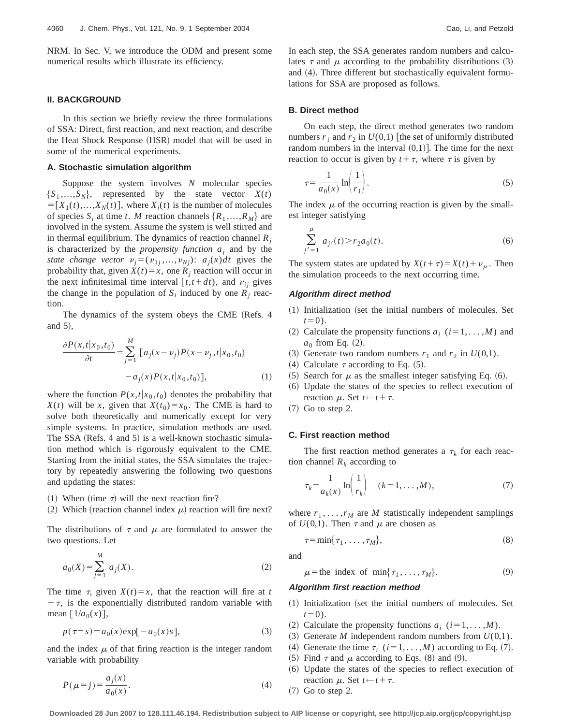NRM. In Sec. V, we introduce the ODM and present some numerical results which illustrate its efficiency.

### **II. BACKGROUND**

In this section we briefly review the three formulations of SSA: Direct, first reaction, and next reaction, and describe the Heat Shock Response (HSR) model that will be used in some of the numerical experiments.

### **A. Stochastic simulation algorithm**

Suppose the system involves *N* molecular species  ${S_1, ..., S_N}$ , represented by the state vector  $X(t)$  $=[X_1(t),...,X_N(t)]$ , where  $X_i(t)$  is the number of molecules of species  $S_i$  at time *t*. *M* reaction channels  $\{R_1, \ldots, R_M\}$  are involved in the system. Assume the system is well stirred and in thermal equilibrium. The dynamics of reaction channel  $R_i$ is characterized by the *propensity function aj* and by the *state change vector*  $v_j = (v_{1j},...,v_{Nj})$ :  $a_j(x)dt$  gives the probability that, given  $X(t) = x$ , one  $R_j$  reaction will occur in the next infinitesimal time interval  $[t, t+dt)$ , and  $v_{ij}$  gives the change in the population of  $S_i$  induced by one  $R_i$  reaction.

The dynamics of the system obeys the CME (Refs. 4 and  $5$ ),

$$
\frac{\partial P(x,t|x_0,t_0)}{\partial t} = \sum_{j=1}^{M} [a_j(x-\nu_j)P(x-\nu_j,t|x_0,t_0) - a_j(x)P(x,t|x_0,t_0)],
$$
\n(1)

where the function  $P(x,t|x_0,t_0)$  denotes the probability that *X*(*t*) will be *x*, given that *X*(*t*<sub>0</sub>)=*x*<sub>0</sub>. The CME is hard to solve both theoretically and numerically except for very simple systems. In practice, simulation methods are used. The SSA (Refs. 4 and 5) is a well-known stochastic simulation method which is rigorously equivalent to the CME. Starting from the initial states, the SSA simulates the trajectory by repeatedly answering the following two questions and updating the states:

- (1) When (time  $\tau$ ) will the next reaction fire?
- (2) Which (reaction channel index  $\mu$ ) reaction will fire next?

The distributions of  $\tau$  and  $\mu$  are formulated to answer the two questions. Let

$$
a_0(X) = \sum_{j=1}^{M} a_j(X). \tag{2}
$$

The time  $\tau$ , given  $X(t) = x$ , that the reaction will fire at *t*  $+\tau$ , is the exponentially distributed random variable with mean  $[1/a_0(x)],$ 

$$
p(\tau = s) = a_0(x) \exp[-a_0(x)s],
$$
\n(3)

and the index  $\mu$  of that firing reaction is the integer random variable with probability

$$
P(\mu = j) = \frac{a_j(x)}{a_0(x)}.
$$
 (4)

In each step, the SSA generates random numbers and calculates  $\tau$  and  $\mu$  according to the probability distributions (3) and  $(4)$ . Three different but stochastically equivalent formulations for SSA are proposed as follows.

### **B. Direct method**

On each step, the direct method generates two random numbers  $r_1$  and  $r_2$  in  $U(0,1)$  [the set of uniformly distributed random numbers in the interval  $(0,1)$ . The time for the next reaction to occur is given by  $t + \tau$ , where  $\tau$  is given by

$$
\tau = \frac{1}{a_0(x)} \ln \left( \frac{1}{r_1} \right). \tag{5}
$$

The index  $\mu$  of the occurring reaction is given by the smallest integer satisfying

$$
\sum_{j'=1}^{\mu} a_{j'}(t) > r_2 a_0(t). \tag{6}
$$

The system states are updated by  $X(t+\tau)=X(t)+\nu_{\mu}$ . Then the simulation proceeds to the next occurring time.

### **Algorithm direct method**

- $(1)$  Initialization (set the initial numbers of molecules. Set  $t=0$ ).
- (2) Calculate the propensity functions  $a_i$  ( $i=1, \ldots, M$ ) and  $a_0$  from Eq.  $(2)$ .
- (3) Generate two random numbers  $r_1$  and  $r_2$  in  $U(0,1)$ .
- (4) Calculate  $\tau$  according to Eq. (5).
- (5) Search for  $\mu$  as the smallest integer satisfying Eq. (6).
- ~6! Update the states of the species to reflect execution of reaction  $\mu$ . Set  $t \leftarrow t + \tau$ .
- $(7)$  Go to step 2.

### **C. First reaction method**

The first reaction method generates a  $\tau_k$  for each reaction channel  $R_k$  according to

$$
\tau_k = \frac{1}{a_k(x)} \ln \left( \frac{1}{r_k} \right) \quad (k = 1, \dots, M), \tag{7}
$$

where  $r_1, \ldots, r_M$  are *M* statistically independent samplings of  $U(0,1)$ . Then  $\tau$  and  $\mu$  are chosen as

$$
\tau = \min\{\tau_1, \ldots, \tau_M\},\tag{8}
$$

and

$$
\mu = \text{the index of } \min\{\tau_1, \dots, \tau_M\}. \tag{9}
$$

### **Algorithm first reaction method**

- $(1)$  Initialization (set the initial numbers of molecules. Set  $t=0$ ).
- (2) Calculate the propensity functions  $a_i$  ( $i=1,\ldots,M$ ).
- $(3)$  Generate *M* independent random numbers from  $U(0,1)$ .
- (4) Generate the time  $\tau_i$  ( $i=1,\ldots,M$ ) according to Eq. (7).
- (5) Find  $\tau$  and  $\mu$  according to Eqs. (8) and (9).
- ~6! Update the states of the species to reflect execution of reaction  $\mu$ . Set  $t \leftarrow t + \tau$ .
- $(7)$  Go to step 2.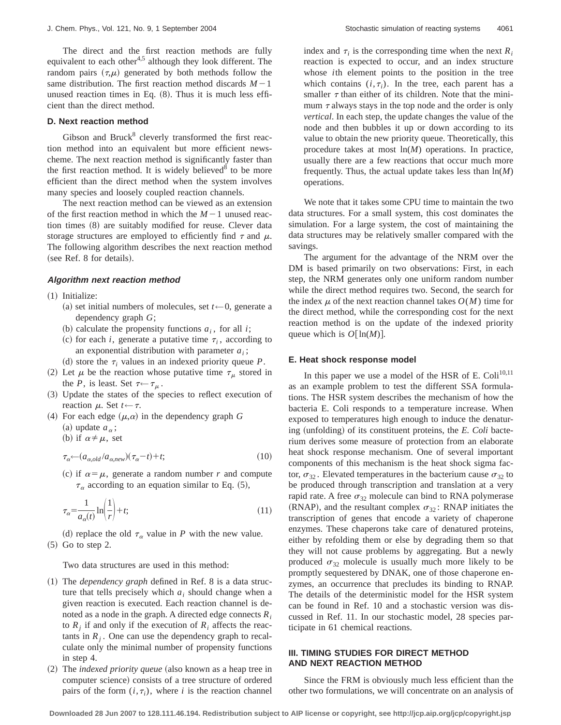The direct and the first reaction methods are fully equivalent to each other<sup>4,5</sup> although they look different. The random pairs  $(\tau,\mu)$  generated by both methods follow the same distribution. The first reaction method discards  $M-1$ unused reaction times in Eq.  $(8)$ . Thus it is much less efficient than the direct method.

# **D. Next reaction method**

Gibson and Bruck $8$  cleverly transformed the first reaction method into an equivalent but more efficient newscheme. The next reaction method is significantly faster than the first reaction method. It is widely believed<sup>8</sup> to be more efficient than the direct method when the system involves many species and loosely coupled reaction channels.

The next reaction method can be viewed as an extension of the first reaction method in which the  $M-1$  unused reaction times  $(8)$  are suitably modified for reuse. Clever data storage structures are employed to efficiently find  $\tau$  and  $\mu$ . The following algorithm describes the next reaction method  $(see Ref. 8 for details).$ 

#### **Algorithm next reaction method**

 $(1)$  Initialize:

- (a) set initial numbers of molecules, set  $t \leftarrow 0$ , generate a dependency graph *G*;
- (b) calculate the propensity functions  $a_i$ , for all *i*;
- (c) for each *i*, generate a putative time  $\tau_i$ , according to an exponential distribution with parameter  $a_i$ ;
- (d) store the  $\tau_i$  values in an indexed priority queue *P*.
- (2) Let  $\mu$  be the reaction whose putative time  $\tau_{\mu}$  stored in the *P*, is least. Set  $\tau \leftarrow \tau_{\mu}$ .
- ~3! Update the states of the species to reflect execution of reaction  $\mu$ . Set  $t \leftarrow \tau$ .
- (4) For each edge  $(\mu, \alpha)$  in the dependency graph G (a) update  $a_{\alpha}$ ;

(b) if  $\alpha \neq \mu$ , set

$$
\tau_{\alpha} \leftarrow (a_{\alpha,old}/a_{\alpha,new})(\tau_{\alpha} - t) + t;\tag{10}
$$

(c) if  $\alpha = \mu$ , generate a random number *r* and compute  $\tau_{\alpha}$  according to an equation similar to Eq. (5),

$$
\tau_{\alpha} = \frac{1}{a_{\alpha}(t)} \ln \left( \frac{1}{r} \right) + t; \tag{11}
$$

(d) replace the old  $\tau_\alpha$  value in *P* with the new value.  $(5)$  Go to step 2.

Two data structures are used in this method:

- ~1! The *dependency graph* defined in Ref. 8 is a data structure that tells precisely which  $a_i$  should change when a given reaction is executed. Each reaction channel is denoted as a node in the graph. A directed edge connects *Ri* to  $R_i$  if and only if the execution of  $R_i$  affects the reactants in  $R_i$ . One can use the dependency graph to recalculate only the minimal number of propensity functions in step 4.
- (2) The *indexed priority queue* (also known as a heap tree in computer science) consists of a tree structure of ordered pairs of the form  $(i, \tau_i)$ , where *i* is the reaction channel

index and  $\tau_i$  is the corresponding time when the next  $R_i$ reaction is expected to occur, and an index structure whose *i*th element points to the position in the tree which contains  $(i, \tau_i)$ . In the tree, each parent has a smaller  $\tau$  than either of its children. Note that the minimum  $\tau$  always stays in the top node and the order is only *vertical*. In each step, the update changes the value of the node and then bubbles it up or down according to its value to obtain the new priority queue. Theoretically, this procedure takes at most ln(*M*) operations. In practice, usually there are a few reactions that occur much more frequently. Thus, the actual update takes less than ln(*M*) operations.

We note that it takes some CPU time to maintain the two data structures. For a small system, this cost dominates the simulation. For a large system, the cost of maintaining the data structures may be relatively smaller compared with the savings.

The argument for the advantage of the NRM over the DM is based primarily on two observations: First, in each step, the NRM generates only one uniform random number while the direct method requires two. Second, the search for the index  $\mu$  of the next reaction channel takes  $O(M)$  time for the direct method, while the corresponding cost for the next reaction method is on the update of the indexed priority queue which is  $O[\ln(M)]$ .

#### **E. Heat shock response model**

In this paper we use a model of the HSR of E. Coli<sup>10,11</sup> as an example problem to test the different SSA formulations. The HSR system describes the mechanism of how the bacteria E. Coli responds to a temperature increase. When exposed to temperatures high enough to induce the denaturing (unfolding) of its constituent proteins, the *E. Coli* bacterium derives some measure of protection from an elaborate heat shock response mechanism. One of several important components of this mechanism is the heat shock sigma factor,  $\sigma_{32}$ . Elevated temperatures in the bacterium cause  $\sigma_{32}$  to be produced through transcription and translation at a very rapid rate. A free  $\sigma_{32}$  molecule can bind to RNA polymerase (RNAP), and the resultant complex  $\sigma_{32}$ : RNAP initiates the transcription of genes that encode a variety of chaperone enzymes. These chaperons take care of denatured proteins, either by refolding them or else by degrading them so that they will not cause problems by aggregating. But a newly produced  $\sigma_{32}$  molecule is usually much more likely to be promptly sequestered by DNAK, one of those chaperone enzymes, an occurrence that precludes its binding to RNAP. The details of the deterministic model for the HSR system can be found in Ref. 10 and a stochastic version was discussed in Ref. 11. In our stochastic model, 28 species participate in 61 chemical reactions.

# **III. TIMING STUDIES FOR DIRECT METHOD AND NEXT REACTION METHOD**

Since the FRM is obviously much less efficient than the other two formulations, we will concentrate on an analysis of

**Downloaded 28 Jun 2007 to 128.111.46.194. Redistribution subject to AIP license or copyright, see http://jcp.aip.org/jcp/copyright.jsp**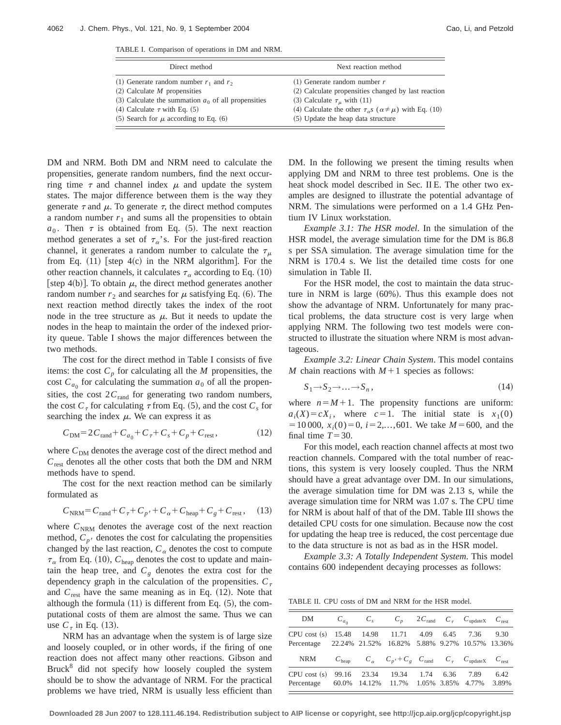TABLE I. Comparison of operations in DM and NRM.

DM and NRM. Both DM and NRM need to calculate the propensities, generate random numbers, find the next occurring time  $\tau$  and channel index  $\mu$  and update the system states. The major difference between them is the way they generate  $\tau$  and  $\mu$ . To generate  $\tau$ , the direct method computes a random number  $r_1$  and sums all the propensities to obtain  $a_0$ . Then  $\tau$  is obtained from Eq. (5). The next reaction method generates a set of  $\tau_{\alpha}$ 's. For the just-fired reaction channel, it generates a random number to calculate the  $\tau_{\mu}$ from Eq.  $(11)$  [step 4 $(c)$  in the NRM algorithm]. For the other reaction channels, it calculates  $\tau_{\alpha}$  according to Eq. (10) [step 4(b)]. To obtain  $\mu$ , the direct method generates another random number  $r_2$  and searches for  $\mu$  satisfying Eq. (6). The next reaction method directly takes the index of the root node in the tree structure as  $\mu$ . But it needs to update the nodes in the heap to maintain the order of the indexed priority queue. Table I shows the major differences between the two methods.

The cost for the direct method in Table I consists of five items: the cost  $C_p$  for calculating all the *M* propensities, the cost  $C_{a_0}$  for calculating the summation  $a_0$  of all the propensities, the cost  $2C_{\text{rand}}$  for generating two random numbers, the cost  $C_{\tau}$  for calculating  $\tau$  from Eq. (5), and the cost  $C_{s}$  for searching the index  $\mu$ . We can express it as

$$
C_{\rm DM} = 2C_{\rm rand} + C_{a_0} + C_{\tau} + C_s + C_p + C_{\rm rest},\tag{12}
$$

where  $C_{DM}$  denotes the average cost of the direct method and  $C_{\text{rest}}$  denotes all the other costs that both the DM and NRM methods have to spend.

The cost for the next reaction method can be similarly formulated as

$$
C_{\text{NRM}} = C_{\text{rand}} + C_{\tau} + C_{p'} + C_{\alpha} + C_{\text{heap}} + C_{g} + C_{\text{rest}}, \quad (13)
$$

where  $C_{\text{NRM}}$  denotes the average cost of the next reaction method,  $C_p$  denotes the cost for calculating the propensities changed by the last reaction,  $C_{\alpha}$  denotes the cost to compute  $\tau_{\alpha}$  from Eq. (10),  $C_{\text{heap}}$  denotes the cost to update and maintain the heap tree, and  $C_g$  denotes the extra cost for the dependency graph in the calculation of the propensities.  $C_{\tau}$ and  $C_{\text{rest}}$  have the same meaning as in Eq.  $(12)$ . Note that although the formula  $(11)$  is different from Eq.  $(5)$ , the computational costs of them are almost the same. Thus we can use  $C_{\tau}$  in Eq. (13).

NRM has an advantage when the system is of large size and loosely coupled, or in other words, if the firing of one reaction does not affect many other reactions. Gibson and Bruck<sup>8</sup> did not specify how loosely coupled the system should be to show the advantage of NRM. For the practical problems we have tried, NRM is usually less efficient than DM. In the following we present the timing results when applying DM and NRM to three test problems. One is the heat shock model described in Sec. II E. The other two examples are designed to illustrate the potential advantage of NRM. The simulations were performed on a 1.4 GHz Pentium IV Linux workstation.

*Example 3.1: The HSR model*. In the simulation of the HSR model, the average simulation time for the DM is 86.8 s per SSA simulation. The average simulation time for the NRM is 170.4 s. We list the detailed time costs for one simulation in Table II.

For the HSR model, the cost to maintain the data structure in NRM is large  $(60\%)$ . Thus this example does not show the advantage of NRM. Unfortunately for many practical problems, the data structure cost is very large when applying NRM. The following two test models were constructed to illustrate the situation where NRM is most advantageous.

*Example 3.2: Linear Chain System*. This model contains *M* chain reactions with  $M+1$  species as follows:

$$
S_1 \to S_2 \to \dots \to S_n \,,\tag{14}
$$

where  $n=M+1$ . The propensity functions are uniform:  $a_i(X) = cX_i$ , where  $c=1$ . The initial state is  $x_1(0)$  $=10000$ ,  $x_i(0)=0$ ,  $i=2,...,601$ . We take  $M=600$ , and the final time  $T=30$ .

For this model, each reaction channel affects at most two reaction channels. Compared with the total number of reactions, this system is very loosely coupled. Thus the NRM should have a great advantage over DM. In our simulations, the average simulation time for DM was 2.13 s, while the average simulation time for NRM was 1.07 s. The CPU time for NRM is about half of that of the DM. Table III shows the detailed CPU costs for one simulation. Because now the cost for updating the heap tree is reduced, the cost percentage due to the data structure is not as bad as in the HSR model.

*Example 3.3: A Totally Independent System*. This model contains 600 independent decaying processes as follows:

TABLE II. CPU costs of DM and NRM for the HSR model.

| DM                                                     | $C_{a_0}$ | $C_{s}$ |                                                                                                                     |  | $C_p$ 2C <sub>rand</sub> $C_\tau$ C <sub>update</sub> C <sub>rest</sub> |      |
|--------------------------------------------------------|-----------|---------|---------------------------------------------------------------------------------------------------------------------|--|-------------------------------------------------------------------------|------|
| CPU cost (s) 15.48 14.98 11.71 4.09 6.45<br>Percentage |           |         | 22.24% 21.52% 16.82% 5.88% 9.27% 10.57% 13.36%                                                                      |  | 7.36                                                                    | 9.30 |
|                                                        |           |         |                                                                                                                     |  |                                                                         |      |
| NRM                                                    |           |         | $C_{\text{heap}}$ $C_{\alpha}$ $C_{p'} + C_{g}$ $C_{\text{rand}}$ $C_{\tau}$ $C_{\text{updateX}}$ $C_{\text{rest}}$ |  |                                                                         |      |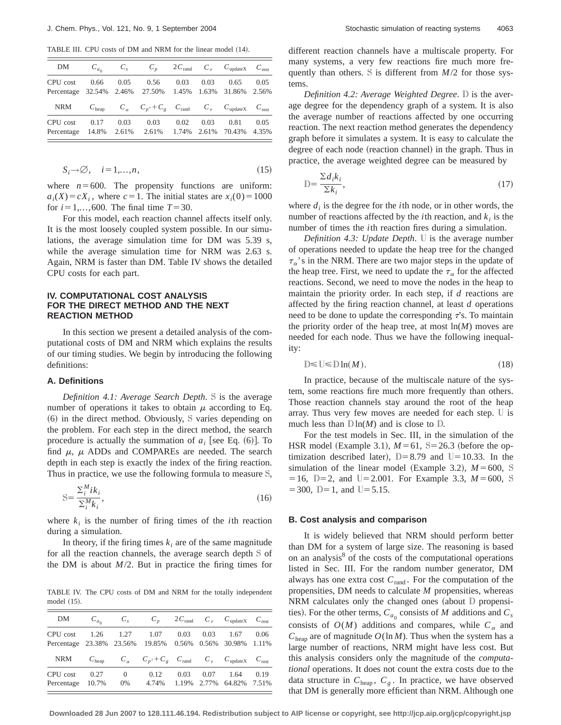TABLE III. CPU costs of DM and NRM for the linear model (14).

| DΜ                                  | $C_{a_0}$         | $C_{s}$       | $C_n$                                                                           | $2C_{\text{rand}}$ |               | $C_{\tau}$ $C_{\text{updateX}}$ | $C_{\text{rest}}$ |
|-------------------------------------|-------------------|---------------|---------------------------------------------------------------------------------|--------------------|---------------|---------------------------------|-------------------|
| CPU cost<br>Percentage 32.54% 2.46% | 0.66              | 0.05          | 0.56<br>27.50%                                                                  | 0.03<br>1.45%      | 0.03          | 0.65<br>1.63% 31.86% 2.56%      | 0.05              |
| <b>NRM</b>                          | $C_{\text{hean}}$ |               | $C_{\alpha}$ $C_{p'} + C_{g}$ $C_{\text{rand}}$ $C_{\tau}$ $C_{\text{updateX}}$ |                    |               |                                 | $C_{\text{rest}}$ |
| CPU cost<br>Percentage              | 0.17<br>14.8%     | 0.03<br>2.61% | 0.03<br>2.61%                                                                   | 0.02<br>1.74%      | 0.03<br>2.61% | 0.81<br>70.43%                  | 0.05<br>4.35%     |

$$
S_i \to \emptyset, \quad i = 1, \dots, n,\tag{15}
$$

where  $n=600$ . The propensity functions are uniform:  $a_i(X) = cX_i$ , where  $c = 1$ . The initial states are  $x_i(0) = 1000$ for  $i=1,...,600$ . The final time  $T=30$ .

For this model, each reaction channel affects itself only. It is the most loosely coupled system possible. In our simulations, the average simulation time for DM was 5.39 s, while the average simulation time for NRM was 2.63 s. Again, NRM is faster than DM. Table IV shows the detailed CPU costs for each part.

## **IV. COMPUTATIONAL COST ANALYSIS FOR THE DIRECT METHOD AND THE NEXT REACTION METHOD**

In this section we present a detailed analysis of the computational costs of DM and NRM which explains the results of our timing studies. We begin by introducing the following definitions:

### **A. Definitions**

*Definition 4.1: Average Search Depth*. S is the average number of operations it takes to obtain  $\mu$  according to Eq.  $(6)$  in the direct method. Obviously, S varies depending on the problem. For each step in the direct method, the search procedure is actually the summation of  $a_i$  [see Eq.  $(6)$ ]. To find  $\mu$ ,  $\mu$  ADDs and COMPAREs are needed. The search depth in each step is exactly the index of the firing reaction. Thus in practice, we use the following formula to measure S,

$$
S = \frac{\sum_{i}^{M} i k_{i}}{\sum_{i}^{M} k_{i}},
$$
\n(16)

where  $k_i$  is the number of firing times of the *i*th reaction during a simulation.

In theory, if the firing times  $k_i$  are of the same magnitude for all the reaction channels, the average search depth S of the DM is about *M*/2. But in practice the firing times for

TABLE IV. The CPU costs of DM and NRM for the totally independent model  $(15)$ .

| DM                                                                   | $C_{a_0}$         | $C_{s}$           | $C_n$                                                                                             |      |      | $2C_{\text{rand}}$ $C_{\tau}$ $C_{\text{updateX}}$ | $C_{\text{rest}}$ |
|----------------------------------------------------------------------|-------------------|-------------------|---------------------------------------------------------------------------------------------------|------|------|----------------------------------------------------|-------------------|
| CPU cost<br>Percentage 23.38% 23.56% 19.85% 0.56% 0.56% 30.98% 1.11% | 1.26              | 1.27              | 1.07                                                                                              | 0.03 | 0.03 | 1.67                                               | 0.06              |
| <b>NRM</b>                                                           | $C_{\text{hean}}$ |                   | $C_{\alpha}$ $C_{p'} + C_{g}$ $C_{\text{rand}}$ $C_{\tau}$ $C_{\text{updateX}}$ $C_{\text{rest}}$ |      |      |                                                    |                   |
| CPU cost<br>Percentage 10.7%                                         | 0.27              | $\Omega$<br>$0\%$ | 0.12<br>4.74%                                                                                     | 0.03 | 0.07 | 1.64<br>1.19% 2.77% 64.82% 7.51%                   | 0.19              |

different reaction channels have a multiscale property. For many systems, a very few reactions fire much more frequently than others. S is different from *M*/2 for those systems.

*Definition 4.2: Average Weighted Degree*. D is the average degree for the dependency graph of a system. It is also the average number of reactions affected by one occurring reaction. The next reaction method generates the dependency graph before it simulates a system. It is easy to calculate the degree of each node (reaction channel) in the graph. Thus in practice, the average weighted degree can be measured by

$$
\mathbf{D} = \frac{\sum d_i k_i}{\sum k_i},\tag{17}
$$

where  $d_i$  is the degree for the *i*th node, or in other words, the number of reactions affected by the *i*th reaction, and  $k_i$  is the number of times the *i*th reaction fires during a simulation.

*Definition 4.3: Update Depth*. U is the average number of operations needed to update the heap tree for the changed  $\tau_{\alpha}$ 's in the NRM. There are two major steps in the update of the heap tree. First, we need to update the  $\tau_{\alpha}$  for the affected reactions. Second, we need to move the nodes in the heap to maintain the priority order. In each step, if *d* reactions are affected by the firing reaction channel, at least *d* operations need to be done to update the corresponding  $\tau$ 's. To maintain the priority order of the heap tree, at most ln(*M*) moves are needed for each node. Thus we have the following inequality:

$$
\mathbb{D} \leq \mathbb{U} \leq \mathbb{D} \ln(M). \tag{18}
$$

In practice, because of the multiscale nature of the system, some reactions fire much more frequently than others. Those reaction channels stay around the root of the heap array. Thus very few moves are needed for each step. U is much less than  $D \ln(M)$  and is close to D.

For the test models in Sec. III, in the simulation of the HSR model (Example 3.1),  $M=61$ , S=26.3 (before the optimization described later),  $D=8.79$  and  $U=10.33$ . In the simulation of the linear model (Example 3.2),  $M = 600$ , S  $=16$ , D=2, and U=2.001. For Example 3.3,  $M=600$ , S  $=$  300, D=1, and U=5.15.

#### **B. Cost analysis and comparison**

It is widely believed that NRM should perform better than DM for a system of large size. The reasoning is based on an analysis<sup>8</sup> of the costs of the computational operations listed in Sec. III. For the random number generator, DM always has one extra cost  $C_{\text{rand}}$ . For the computation of the propensities, DM needs to calculate *M* propensities, whereas NRM calculates only the changed ones (about  $D$  propensities). For the other terms,  $C_{a_0}$  consists of *M* additions and  $C_s$ consists of  $O(M)$  additions and compares, while  $C_{\alpha}$  and  $C_{\text{hean}}$  are of magnitude  $O(\ln M)$ . Thus when the system has a large number of reactions, NRM might have less cost. But this analysis considers only the magnitude of the *computational* operations. It does not count the extra costs due to the data structure in  $C_{\text{heap}}$ ,  $C_g$ . In practice, we have observed that DM is generally more efficient than NRM. Although one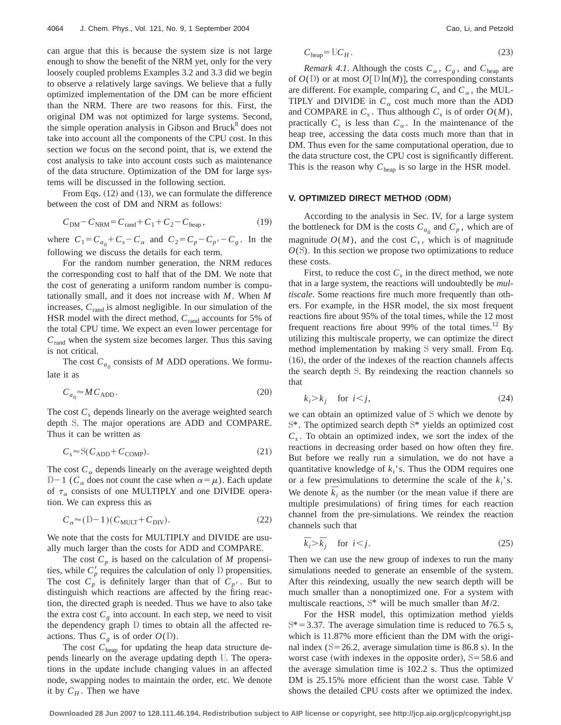can argue that this is because the system size is not large enough to show the benefit of the NRM yet, only for the very loosely coupled problems Examples 3.2 and 3.3 did we begin to observe a relatively large savings. We believe that a fully optimized implementation of the DM can be more efficient than the NRM. There are two reasons for this. First, the original DM was not optimized for large systems. Second, the simple operation analysis in Gibson and Bruck $8$  does not take into account all the components of the CPU cost. In this section we focus on the second point, that is, we extend the cost analysis to take into account costs such as maintenance of the data structure. Optimization of the DM for large systems will be discussed in the following section.

From Eqs.  $(12)$  and  $(13)$ , we can formulate the difference between the cost of DM and NRM as follows:

$$
C_{\rm DM} - C_{\rm NRM} = C_{\rm rand} + C_1 + C_2 - C_{\rm heap},\tag{19}
$$

where  $C_1 = C_{a_0} + C_s - C_\alpha$  and  $C_2 = C_p - C_{p'} - C_g$ . In the following we discuss the details for each term.

For the random number generation, the NRM reduces the corresponding cost to half that of the DM. We note that the cost of generating a uniform random number is computationally small, and it does not increase with *M*. When *M* increases, *C*rand is almost negligible. In our simulation of the HSR model with the direct method,  $C_{\text{rand}}$  accounts for 5% of the total CPU time. We expect an even lower percentage for *C*rand when the system size becomes larger. Thus this saving is not critical.

The cost  $C_{a_0}$  consists of *M* ADD operations. We formulate it as

$$
C_{a_0} \approx MC_{\text{ADD}}.\tag{20}
$$

The cost  $C_s$  depends linearly on the average weighted search depth S. The major operations are ADD and COMPARE. Thus it can be written as

$$
C_s \approx S(C_{\text{ADD}} + C_{\text{COMP}}). \tag{21}
$$

The cost  $C_{\alpha}$  depends linearly on the average weighted depth  $D-1$  ( $C_\alpha$  does not count the case when  $\alpha = \mu$ ). Each update of  $\tau_{\alpha}$  consists of one MULTIPLY and one DIVIDE operation. We can express this as

$$
C_{\alpha} \approx (D-1)(C_{\text{MULT}} + C_{\text{ DIV}}). \tag{22}
$$

We note that the costs for MULTIPLY and DIVIDE are usually much larger than the costs for ADD and COMPARE.

The cost  $C_p$  is based on the calculation of *M* propensities, while  $C_p'$  requires the calculation of only  $D$  propensities. The cost  $C_p$  is definitely larger than that of  $C_{p'}$ . But to distinguish which reactions are affected by the firing reaction, the directed graph is needed. Thus we have to also take the extra cost  $C_g$  into account. In each step, we need to visit the dependency graph D times to obtain all the affected reactions. Thus  $C_g$  is of order  $O(D)$ .

The cost  $C_{\text{heap}}$  for updating the heap data structure depends linearly on the average updating depth U. The operations in the update include changing values in an affected node, swapping nodes to maintain the order, etc. We denote it by  $C_H$ . Then we have

$$
C_{\text{heap}} = \mathbb{U}C_H. \tag{23}
$$

*Remark 4.1.* Although the costs  $C_{\alpha}$ ,  $C_{g}$ , and  $C_{\text{heap}}$  are of  $O(D)$  or at most  $O[D\ln(M)]$ , the corresponding constants are different. For example, comparing  $C_s$  and  $C_\alpha$ , the MUL-TIPLY and DIVIDE in  $C_\alpha$  cost much more than the ADD and COMPARE in  $C_s$ . Thus although  $C_s$  is of order  $O(M)$ , practically  $C_s$  is less than  $C_a$ . In the maintenance of the heap tree, accessing the data costs much more than that in DM. Thus even for the same computational operation, due to the data structure cost, the CPU cost is significantly different. This is the reason why  $C_{\text{hean}}$  is so large in the HSR model.

### **V. OPTIMIZED DIRECT METHOD (ODM)**

According to the analysis in Sec. IV, for a large system the bottleneck for DM is the costs  $C_{a_0}$  and  $C_p$ , which are of magnitude  $O(M)$ , and the cost  $C_s$ , which is of magnitude *O*(S). In this section we propose two optimizations to reduce these costs.

First, to reduce the cost  $C_s$  in the direct method, we note that in a large system, the reactions will undoubtedly be *multiscale*. Some reactions fire much more frequently than others. For example, in the HSR model, the six most frequent reactions fire about 95% of the total times, while the 12 most frequent reactions fire about 99% of the total times.<sup>12</sup> By utilizing this multiscale property, we can optimize the direct method implementation by making S very small. From Eq.  $(16)$ , the order of the indexes of the reaction channels affects the search depth S. By reindexing the reaction channels so that

$$
k_i > k_j \quad \text{for } i < j,
$$
\n
$$
(24)
$$

we can obtain an optimized value of S which we denote by S\*. The optimized search depth S\* yields an optimized cost *Cs* . To obtain an optimized index, we sort the index of the reactions in decreasing order based on how often they fire. But before we really run a simulation, we do not have a quantitative knowledge of  $k_i$ 's. Thus the ODM requires one or a few presimulations to determine the scale of the *ki*'s. We denote  $\overline{k}_i$  as the number (or the mean value if there are multiple presimulations) of firing times for each reaction channel from the pre-simulations. We reindex the reaction channels such that

$$
\bar{k}_i > \bar{k}_j \quad \text{for } i < j. \tag{25}
$$

Then we can use the new group of indexes to run the many simulations needed to generate an ensemble of the system. After this reindexing, usually the new search depth will be much smaller than a nonoptimized one. For a system with multiscale reactions, S\* will be much smaller than *M*/2.

For the HSR model, this optimization method yields  $S^*$  = 3.37. The average simulation time is reduced to 76.5 s, which is 11.87% more efficient than the DM with the original index  $(S=26.2$ , average simulation time is 86.8 s). In the worst case (with indexes in the opposite order),  $S=58.6$  and the average simulation time is 102.2 s. Thus the optimized DM is 25.15% more efficient than the worst case. Table V shows the detailed CPU costs after we optimized the index.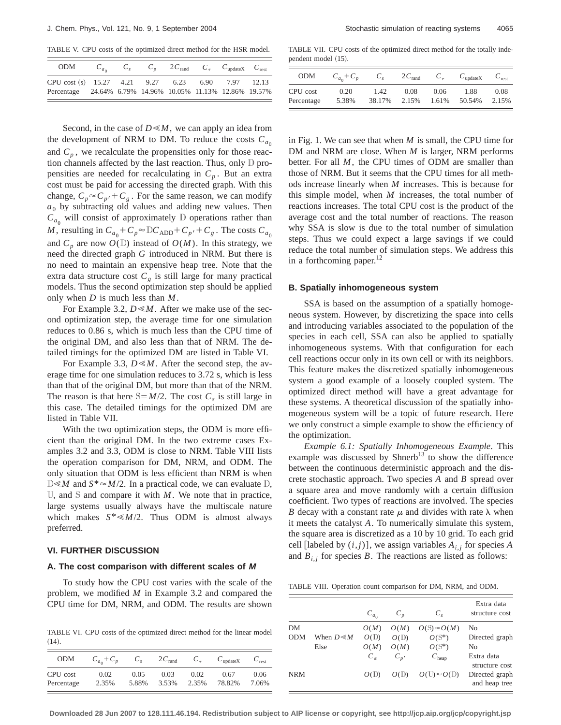TABLE V. CPU costs of the optimized direct method for the HSR model.

| ODM                                                                                                             |  |  | $C_{a_0}$ $C_s$ $C_p$ $2C_{rand}$ $C_{\tau}$ $C_{updateX}$ $C_{rest}$ |  |
|-----------------------------------------------------------------------------------------------------------------|--|--|-----------------------------------------------------------------------|--|
| CPU cost (s) 15.27 4.21 9.27 6.23 6.90 7.97 12.13<br>Percentage 24.64% 6.79% 14.96% 10.05% 11.13% 12.86% 19.57% |  |  |                                                                       |  |

Second, in the case of  $D \le M$ , we can apply an idea from the development of NRM to DM. To reduce the costs  $C_{a_0}$ and  $C_p$ , we recalculate the propensities only for those reaction channels affected by the last reaction. Thus, only D propensities are needed for recalculating in  $C_p$ . But an extra cost must be paid for accessing the directed graph. With this change,  $C_p \approx C_{p'} + C_g$ . For the same reason, we can modify  $a_0$  by subtracting old values and adding new values. Then  $C_{a_0}$  will consist of approximately D operations rather than *M*, resulting in  $C_{a_0} + C_p \approx DC_{ADD} + C_p + C_g$ . The costs  $C_{a_0}$ and  $C_p$  are now  $O(D)$  instead of  $O(M)$ . In this strategy, we need the directed graph *G* introduced in NRM. But there is no need to maintain an expensive heap tree. Note that the extra data structure cost  $C_g$  is still large for many practical models. Thus the second optimization step should be applied only when *D* is much less than *M*.

For Example 3.2,  $D \le M$ . After we make use of the second optimization step, the average time for one simulation reduces to 0.86 s, which is much less than the CPU time of the original DM, and also less than that of NRM. The detailed timings for the optimized DM are listed in Table VI.

For Example 3.3,  $D \le M$ . After the second step, the average time for one simulation reduces to 3.72 s, which is less than that of the original DM, but more than that of the NRM. The reason is that here  $S = M/2$ . The cost  $C_s$  is still large in this case. The detailed timings for the optimized DM are listed in Table VII.

With the two optimization steps, the ODM is more efficient than the original DM. In the two extreme cases Examples 3.2 and 3.3, ODM is close to NRM. Table VIII lists the operation comparison for DM, NRM, and ODM. The only situation that ODM is less efficient than NRM is when  $D \leq M$  and  $S^* \approx M/2$ . In a practical code, we can evaluate D, U, and S and compare it with *M*. We note that in practice, large systems usually always have the multiscale nature which makes  $S^* \le M/2$ . Thus ODM is almost always preferred.

### **VI. FURTHER DISCUSSION**

### **A. The cost comparison with different scales of M**

To study how the CPU cost varies with the scale of the problem, we modified *M* in Example 3.2 and compared the CPU time for DM, NRM, and ODM. The results are shown

TABLE VI. CPU costs of the optimized direct method for the linear model  $(14).$ 

| <b>ODM</b> | $C_{a_0} + C_p$ | $C_{s}$ | $2C_{\text{rand}}$ | $C_{\tau}$ | $C_{\text{updateX}}$ | $C_{\text{rest}}$ |
|------------|-----------------|---------|--------------------|------------|----------------------|-------------------|
| CPU cost   | 0.02            | 0.05    | 0.03               | 0.02       | 0.67                 | 0.06              |
| Percentage | 2.35%           | 5.88%   | 3.53%              | 2.35%      | 78.82%               | 7.06%             |

TABLE VII. CPU costs of the optimized direct method for the totally independent model  $(15)$ .

| <b>ODM</b> | $C_{a_0} + C_p$ |        | $2C_{\text{rand}}$ | $C_{\tau}$ | $C_{\text{updateX}}$ | $C_{\text{rest}}$ |
|------------|-----------------|--------|--------------------|------------|----------------------|-------------------|
| CPU cost   | 0.20            | 1.42   | 0.08               | 0.06       | 1.88                 | 0.08              |
| Percentage | 5.38%           | 38.17% | 2.15%              | 1.61%      | 50.54%               | 2.15%             |

in Fig. 1. We can see that when *M* is small, the CPU time for DM and NRM are close. When *M* is larger, NRM performs better. For all *M*, the CPU times of ODM are smaller than those of NRM. But it seems that the CPU times for all methods increase linearly when *M* increases. This is because for this simple model, when *M* increases, the total number of reactions increases. The total CPU cost is the product of the average cost and the total number of reactions. The reason why SSA is slow is due to the total number of simulation steps. Thus we could expect a large savings if we could reduce the total number of simulation steps. We address this in a forthcoming paper.<sup>12</sup>

#### **B. Spatially inhomogeneous system**

SSA is based on the assumption of a spatially homogeneous system. However, by discretizing the space into cells and introducing variables associated to the population of the species in each cell, SSA can also be applied to spatially inhomogeneous systems. With that configuration for each cell reactions occur only in its own cell or with its neighbors. This feature makes the discretized spatially inhomogeneous system a good example of a loosely coupled system. The optimized direct method will have a great advantage for these systems. A theoretical discussion of the spatially inhomogeneous system will be a topic of future research. Here we only construct a simple example to show the efficiency of the optimization.

*Example 6.1: Spatially Inhomogeneous Example*. This example was discussed by Shnerb<sup>13</sup> to show the difference between the continuous deterministic approach and the discrete stochastic approach. Two species *A* and *B* spread over a square area and move randomly with a certain diffusion coefficient. Two types of reactions are involved. The species *B* decay with a constant rate  $\mu$  and divides with rate  $\lambda$  when it meets the catalyst *A*. To numerically simulate this system, the square area is discretized as a 10 by 10 grid. To each grid cell [labeled by  $(i, j)$ ], we assign variables  $A_{i,j}$  for species *A* and  $B_{i,j}$  for species *B*. The reactions are listed as follows:

TABLE VIII. Operation count comparison for DM, NRM, and ODM.

|            |                      | $C_{a_0}$    | $C_p$    | $C_{s}$             | Extra data<br>structure cost    |
|------------|----------------------|--------------|----------|---------------------|---------------------------------|
| DМ         |                      | O(M)         | O(M)     | $O(S) \approx O(M)$ | N <sub>0</sub>                  |
| <b>ODM</b> | When $D \! \ll \! M$ | O(D)         | O(D)     | $O(S^*)$            | Directed graph                  |
|            | Else                 | O(M)         | O(M)     | $O(S^*)$            | No                              |
|            |                      | $C_{\alpha}$ | $C_{n'}$ | $C_{\text{heap}}$   | Extra data                      |
|            |                      |              |          |                     | structure cost                  |
| <b>NRM</b> |                      | O(D)         | O(1)     | $O(U) \approx O(D)$ | Directed graph<br>and heap tree |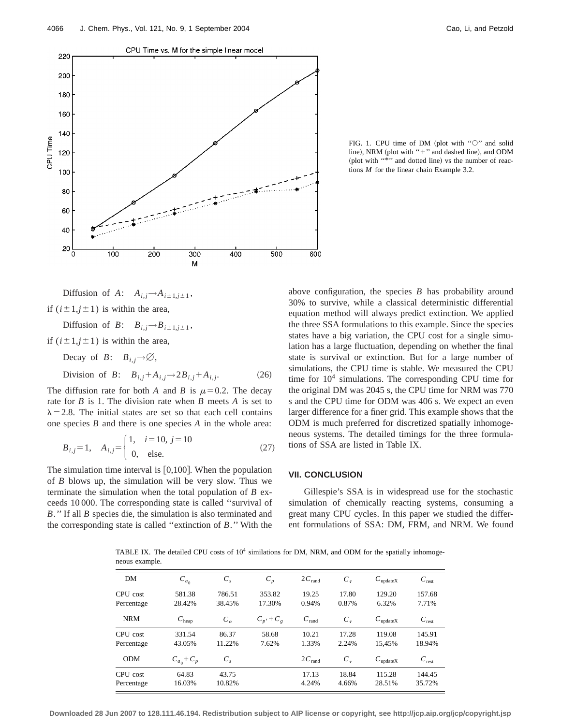

FIG. 1. CPU time of DM (plot with " $\circ$ " and solid line), NRM (plot with "+" and dashed line), and ODM (plot with "\*" and dotted line) vs the number of reactions *M* for the linear chain Example 3.2.

Diffusion of *A*:  $A_{i,i} \rightarrow A_{i\pm 1,i\pm 1}$ , if  $(i \pm 1, j \pm 1)$  is within the area,

Diffusion of *B*:  $B_{i,j} \rightarrow B_{i\pm 1,j\pm 1}$ ,

if  $(i \pm 1, j \pm 1)$  is within the area,

Decay of *B*:  $B_{i,j} \rightarrow \emptyset$ ,

Division of *B*:  $B_{i,j} + A_{i,j} \rightarrow 2B_{i,j} + A_{i,j}$ . (26)

The diffusion rate for both *A* and *B* is  $\mu$ =0.2. The decay rate for *B* is 1. The division rate when *B* meets *A* is set to  $\lambda$  = 2.8. The initial states are set so that each cell contains one species *B* and there is one species *A* in the whole area:

$$
B_{i,j} = 1, \quad A_{i,j} = \begin{cases} 1, & i = 10, \ j = 10 \\ 0, & \text{else.} \end{cases} \tag{27}
$$

The simulation time interval is  $[0,100]$ . When the population of *B* blows up, the simulation will be very slow. Thus we terminate the simulation when the total population of *B* exceeds 10 000. The corresponding state is called ''survival of *B*.'' If all *B* species die, the simulation is also terminated and the corresponding state is called ''extinction of *B*.'' With the above configuration, the species *B* has probability around 30% to survive, while a classical deterministic differential equation method will always predict extinction. We applied the three SSA formulations to this example. Since the species states have a big variation, the CPU cost for a single simulation has a large fluctuation, depending on whether the final state is survival or extinction. But for a large number of simulations, the CPU time is stable. We measured the CPU time for  $10<sup>4</sup>$  simulations. The corresponding CPU time for the original DM was 2045 s, the CPU time for NRM was 770 s and the CPU time for ODM was 406 s. We expect an even larger difference for a finer grid. This example shows that the ODM is much preferred for discretized spatially inhomogeneous systems. The detailed timings for the three formulations of SSA are listed in Table IX.

# **VII. CONCLUSION**

Gillespie's SSA is in widespread use for the stochastic simulation of chemically reacting systems, consuming a great many CPU cycles. In this paper we studied the different formulations of SSA: DM, FRM, and NRM. We found

TABLE IX. The detailed CPU costs of  $10^4$  similations for DM, NRM, and ODM for the spatially inhomogeneous example.

| DM         | $C_{a_0}$         | $C_{s}$      | $C_p$           | $2C_{\text{rand}}$ | $C_{\tau}$ | $C_{\text{updateX}}$ | $C_{\text{rest}}$ |
|------------|-------------------|--------------|-----------------|--------------------|------------|----------------------|-------------------|
| CPU cost   | 581.38            | 786.51       | 353.82          | 19.25              | 17.80      | 129.20               | 157.68            |
| Percentage | 28.42%            | 38.45%       | 17.30%          | 0.94%              | 0.87%      | 6.32%                | 7.71%             |
| <b>NRM</b> | $C_{\text{heap}}$ | $C_{\alpha}$ | $C_p$ , + $C_e$ | $C_{\text{rand}}$  | $C_{\tau}$ | $C_{\text{updateX}}$ | $C_{\text{rest}}$ |
| CPU cost   | 331.54            | 86.37        | 58.68           | 10.21              | 17.28      | 119.08               | 145.91            |
| Percentage | 43.05%            | 11.22%       | 7.62%           | 1.33%              | 2.24%      | 15.45%               | 18.94%            |
| <b>ODM</b> | $C_{a_0} + C_p$   | $C_{s}$      |                 | $2C_{\text{rand}}$ | $C_{\tau}$ | $C_{\text{updateX}}$ | $C_{\text{rest}}$ |
| CPU cost   | 64.83             | 43.75        |                 | 17.13              | 18.84      | 115.28               | 144.45            |
| Percentage | 16.03%            | 10.82%       |                 | 4.24%              | 4.66%      | 28.51%               | 35.72%            |
|            |                   |              |                 |                    |            |                      |                   |